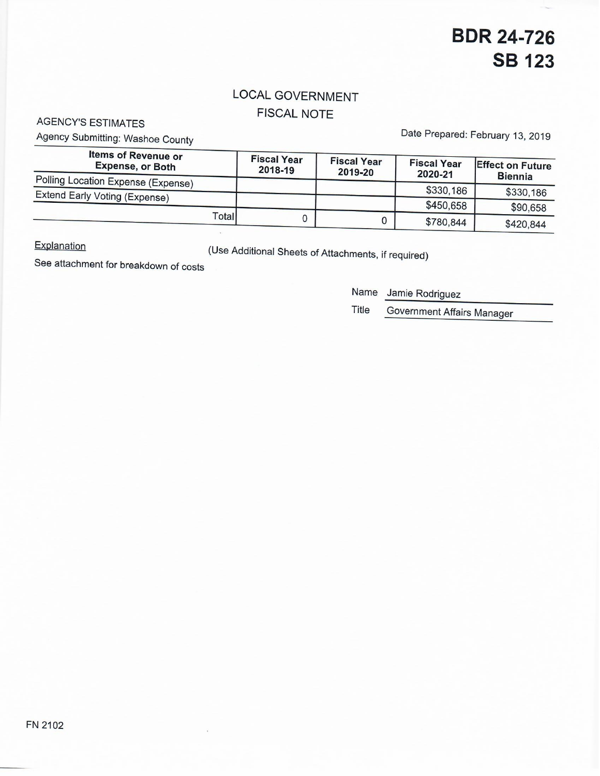### LOCAL GOVERNMENT FISCAL NOTE

AGENCY'S ESTIMATES

Agency Submitting: Washoe County

Date Prepared: February 13, 2019

| <b>Items of Revenue or</b><br><b>Expense, or Both</b>               | <b>Fiscal Year</b><br>2018-19 | <b>Fiscal Year</b><br>2019-20 | <b>Fiscal Year</b><br>2020-21 | <b>Effect on Future</b><br><b>Biennia</b> |
|---------------------------------------------------------------------|-------------------------------|-------------------------------|-------------------------------|-------------------------------------------|
| Polling Location Expense (Expense)<br>Extend Early Voting (Expense) |                               |                               | \$330,186                     | \$330,186                                 |
|                                                                     |                               |                               | \$450,658                     | \$90,658                                  |
| Total                                                               |                               |                               | \$780,844                     | \$420,844                                 |

**Explanation** 

(Use Additional Sheets of Attachments, if required)

See attachment for breakdown of costs

Name Jamie Rodriguez

Title Government Affairs Manager